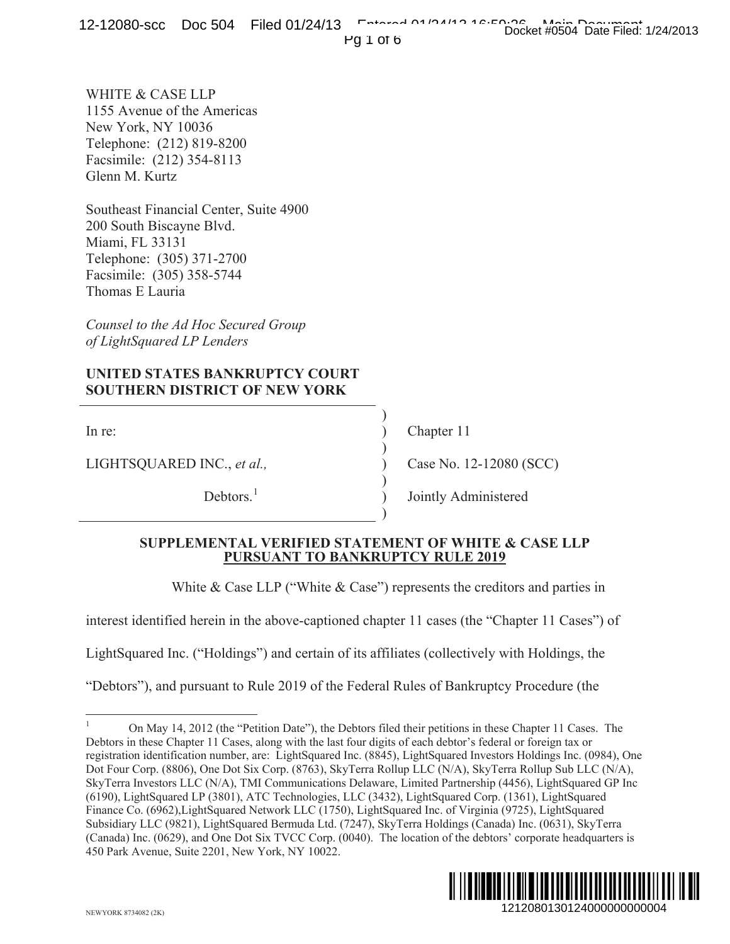Pg 1 of 6

WHITE & CASE LLP 1155 Avenue of the Americas New York, NY 10036 Telephone: (212) 819-8200 Facsimile: (212) 354-8113 Glenn M. Kurtz

Southeast Financial Center, Suite 4900 200 South Biscayne Blvd. Miami, FL 33131 Telephone: (305) 371-2700 Facsimile: (305) 358-5744 Thomas E Lauria

*Counsel to the Ad Hoc Secured Group of LightSquared LP Lenders*

# **UNITED STATES BANKRUPTCY COURT SOUTHERN DISTRICT OF NEW YORK**

LIGHTSQUARED INC., *et al.,* ) Case No. 12-12080 (SCC)

In re: (a) Chapter 11

Debtors.<sup>1</sup> ) Jointly Administered

## **SUPPLEMENTAL VERIFIED STATEMENT OF WHITE & CASE LLP PURSUANT TO BANKRUPTCY RULE 2019**

White & Case LLP ("White & Case") represents the creditors and parties in

)

)

)

)

interest identified herein in the above-captioned chapter 11 cases (the "Chapter 11 Cases") of

LightSquared Inc. ("Holdings") and certain of its affiliates (collectively with Holdings, the

"Debtors"), and pursuant to Rule 2019 of the Federal Rules of Bankruptcy Procedure (the

<sup>1</sup> On May 14, 2012 (the "Petition Date"), the Debtors filed their petitions in these Chapter 11 Cases. The Debtors in these Chapter 11 Cases, along with the last four digits of each debtor's federal or foreign tax or registration identification number, are: LightSquared Inc. (8845), LightSquared Investors Holdings Inc. (0984), One Dot Four Corp. (8806), One Dot Six Corp. (8763), SkyTerra Rollup LLC (N/A), SkyTerra Rollup Sub LLC (N/A), SkyTerra Investors LLC (N/A), TMI Communications Delaware, Limited Partnership (4456), LightSquared GP Inc (6190), LightSquared LP (3801), ATC Technologies, LLC (3432), LightSquared Corp. (1361), LightSquared Finance Co. (6962),LightSquared Network LLC (1750), LightSquared Inc. of Virginia (9725), LightSquared Subsidiary LLC (9821), LightSquared Bermuda Ltd. (7247), SkyTerra Holdings (Canada) Inc. (0631), SkyTerra (Canada) Inc. (0629), and One Dot Six TVCC Corp. (0040). The location of the debtors' corporate headquarters is 450 Park Avenue, Suite 2201, New York, NY 10022. 1212080130124000000000004 Docket #0504 Date Filed: 1/24/2013

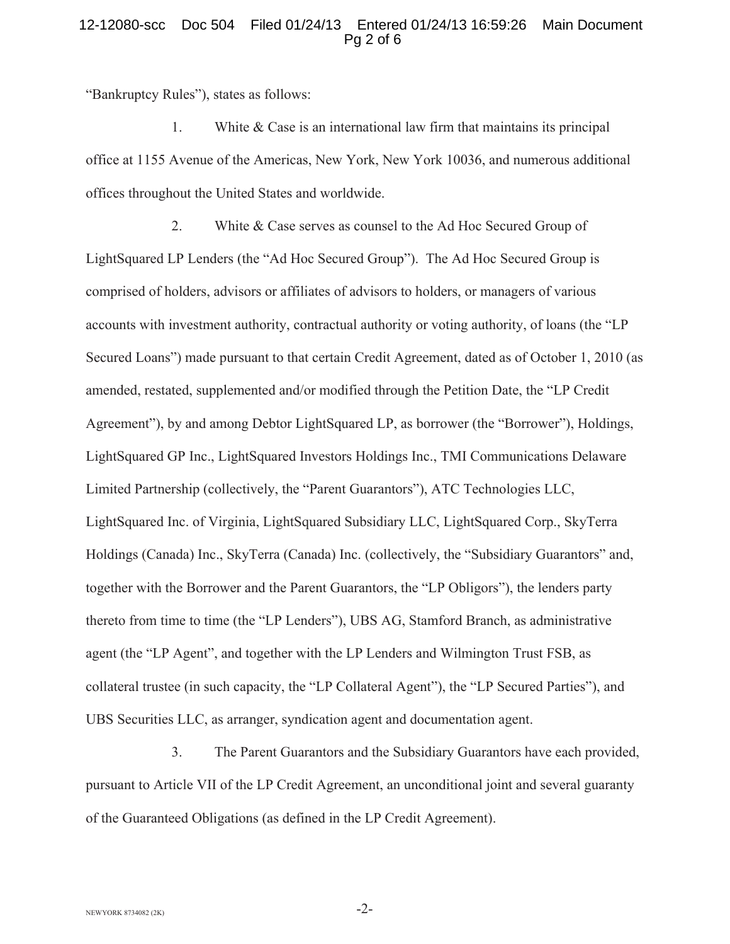### 12-12080-scc Doc 504 Filed 01/24/13 Entered 01/24/13 16:59:26 Main Document Pg 2 of 6

"Bankruptcy Rules"), states as follows:

1. White & Case is an international law firm that maintains its principal office at 1155 Avenue of the Americas, New York, New York 10036, and numerous additional offices throughout the United States and worldwide.

2. White & Case serves as counsel to the Ad Hoc Secured Group of LightSquared LP Lenders (the "Ad Hoc Secured Group"). The Ad Hoc Secured Group is comprised of holders, advisors or affiliates of advisors to holders, or managers of various accounts with investment authority, contractual authority or voting authority, of loans (the "LP Secured Loans") made pursuant to that certain Credit Agreement, dated as of October 1, 2010 (as amended, restated, supplemented and/or modified through the Petition Date, the "LP Credit Agreement"), by and among Debtor LightSquared LP, as borrower (the "Borrower"), Holdings, LightSquared GP Inc., LightSquared Investors Holdings Inc., TMI Communications Delaware Limited Partnership (collectively, the "Parent Guarantors"), ATC Technologies LLC, LightSquared Inc. of Virginia, LightSquared Subsidiary LLC, LightSquared Corp., SkyTerra Holdings (Canada) Inc., SkyTerra (Canada) Inc. (collectively, the "Subsidiary Guarantors" and, together with the Borrower and the Parent Guarantors, the "LP Obligors"), the lenders party thereto from time to time (the "LP Lenders"), UBS AG, Stamford Branch, as administrative agent (the "LP Agent", and together with the LP Lenders and Wilmington Trust FSB, as collateral trustee (in such capacity, the "LP Collateral Agent"), the "LP Secured Parties"), and UBS Securities LLC, as arranger, syndication agent and documentation agent.

3. The Parent Guarantors and the Subsidiary Guarantors have each provided, pursuant to Article VII of the LP Credit Agreement, an unconditional joint and several guaranty of the Guaranteed Obligations (as defined in the LP Credit Agreement).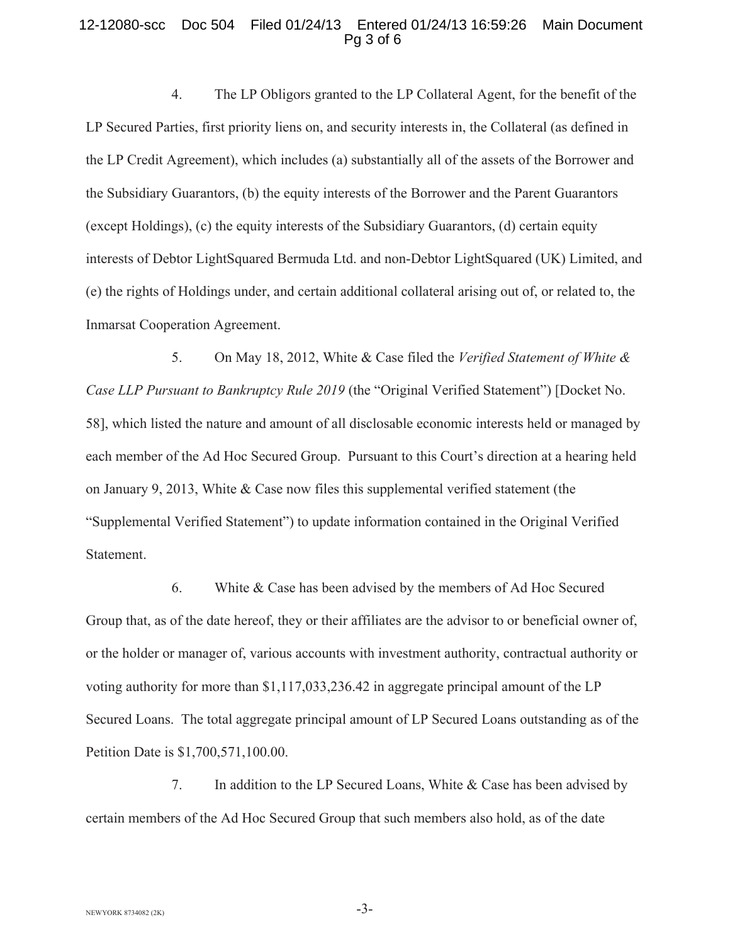#### 12-12080-scc Doc 504 Filed 01/24/13 Entered 01/24/13 16:59:26 Main Document Pg 3 of 6

4. The LP Obligors granted to the LP Collateral Agent, for the benefit of the LP Secured Parties, first priority liens on, and security interests in, the Collateral (as defined in the LP Credit Agreement), which includes (a) substantially all of the assets of the Borrower and the Subsidiary Guarantors, (b) the equity interests of the Borrower and the Parent Guarantors (except Holdings), (c) the equity interests of the Subsidiary Guarantors, (d) certain equity interests of Debtor LightSquared Bermuda Ltd. and non-Debtor LightSquared (UK) Limited, and (e) the rights of Holdings under, and certain additional collateral arising out of, or related to, the Inmarsat Cooperation Agreement.

5. On May 18, 2012, White & Case filed the *Verified Statement of White & Case LLP Pursuant to Bankruptcy Rule 2019* (the "Original Verified Statement") [Docket No. 58], which listed the nature and amount of all disclosable economic interests held or managed by each member of the Ad Hoc Secured Group. Pursuant to this Court's direction at a hearing held on January 9, 2013, White & Case now files this supplemental verified statement (the "Supplemental Verified Statement") to update information contained in the Original Verified Statement.

6. White & Case has been advised by the members of Ad Hoc Secured Group that, as of the date hereof, they or their affiliates are the advisor to or beneficial owner of, or the holder or manager of, various accounts with investment authority, contractual authority or voting authority for more than \$1,117,033,236.42 in aggregate principal amount of the LP Secured Loans. The total aggregate principal amount of LP Secured Loans outstanding as of the Petition Date is \$1,700,571,100.00.

7. In addition to the LP Secured Loans, White & Case has been advised by certain members of the Ad Hoc Secured Group that such members also hold, as of the date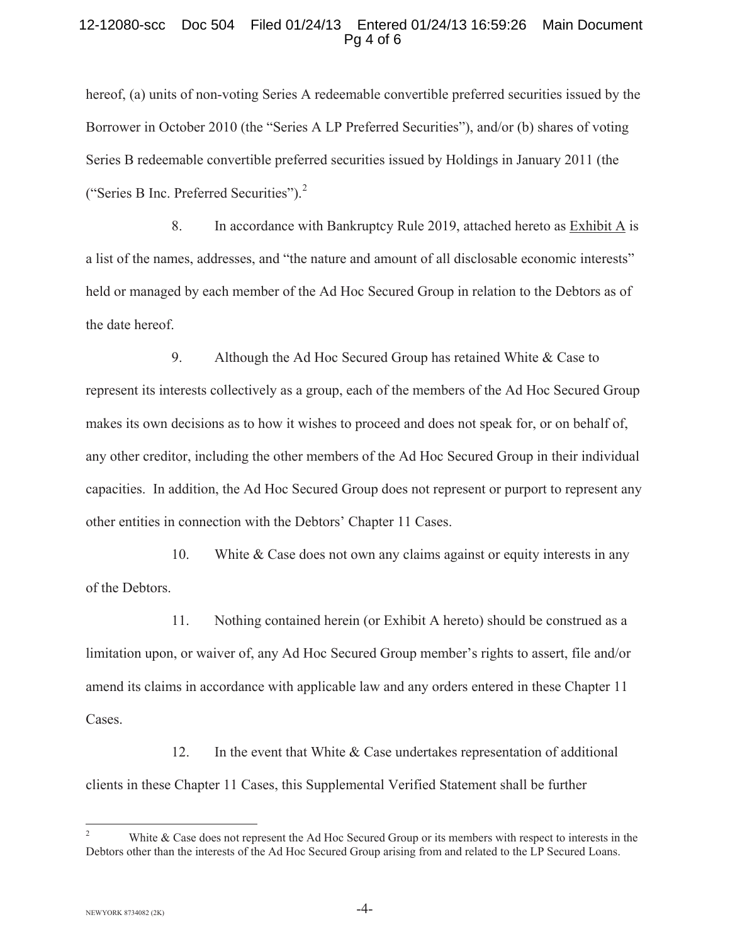#### 12-12080-scc Doc 504 Filed 01/24/13 Entered 01/24/13 16:59:26 Main Document Pg 4 of 6

hereof, (a) units of non-voting Series A redeemable convertible preferred securities issued by the Borrower in October 2010 (the "Series A LP Preferred Securities"), and/or (b) shares of voting Series B redeemable convertible preferred securities issued by Holdings in January 2011 (the ("Series B Inc. Preferred Securities").<sup>2</sup>

8. In accordance with Bankruptcy Rule 2019, attached hereto as Exhibit A is a list of the names, addresses, and "the nature and amount of all disclosable economic interests" held or managed by each member of the Ad Hoc Secured Group in relation to the Debtors as of the date hereof.

9. Although the Ad Hoc Secured Group has retained White & Case to represent its interests collectively as a group, each of the members of the Ad Hoc Secured Group makes its own decisions as to how it wishes to proceed and does not speak for, or on behalf of, any other creditor, including the other members of the Ad Hoc Secured Group in their individual capacities. In addition, the Ad Hoc Secured Group does not represent or purport to represent any other entities in connection with the Debtors' Chapter 11 Cases.

10. White & Case does not own any claims against or equity interests in any of the Debtors.

11. Nothing contained herein (or Exhibit A hereto) should be construed as a limitation upon, or waiver of, any Ad Hoc Secured Group member's rights to assert, file and/or amend its claims in accordance with applicable law and any orders entered in these Chapter 11 Cases.

12. In the event that White & Case undertakes representation of additional clients in these Chapter 11 Cases, this Supplemental Verified Statement shall be further

 $-4-$ 

<sup>&</sup>lt;sup>2</sup> White & Case does not represent the Ad Hoc Secured Group or its members with respect to interests in the Debtors other than the interests of the Ad Hoc Secured Group arising from and related to the LP Secured Loans.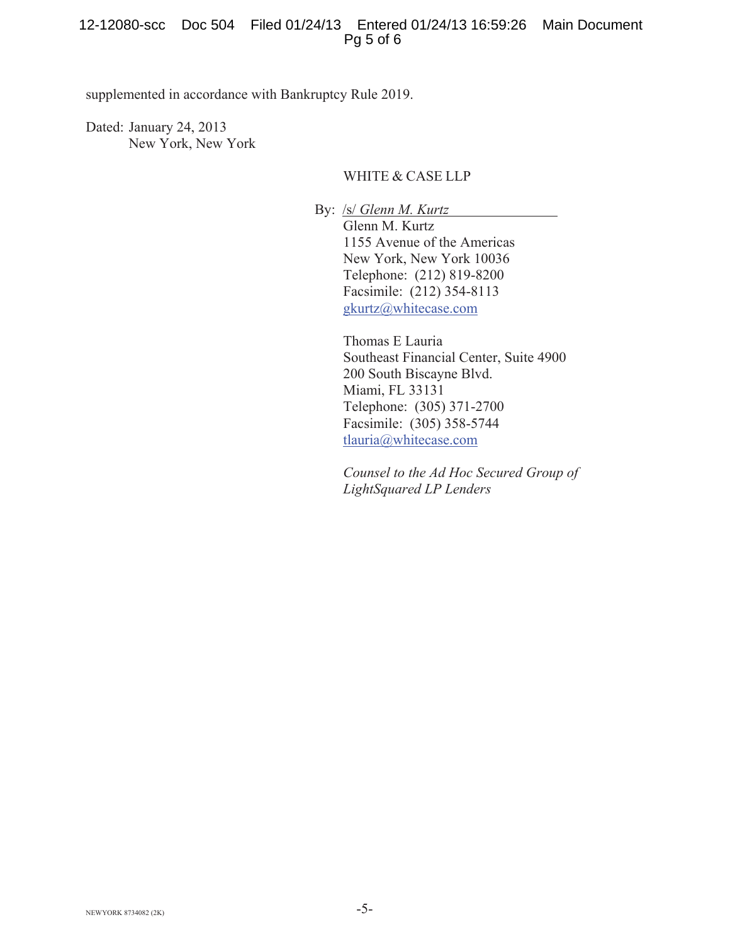## 12-12080-scc Doc 504 Filed 01/24/13 Entered 01/24/13 16:59:26 Main Document Pg 5 of 6

supplemented in accordance with Bankruptcy Rule 2019.

Dated: January 24, 2013 New York, New York

## WHITE & CASE LLP

By: /s/ *Glenn M. Kurtz* Glenn M. Kurtz 1155 Avenue of the Americas New York, New York 10036 Telephone: (212) 819-8200 Facsimile: (212) 354-8113 gkurtz@whitecase.com

> Thomas E Lauria Southeast Financial Center, Suite 4900 200 South Biscayne Blvd. Miami, FL 33131 Telephone: (305) 371-2700 Facsimile: (305) 358-5744 tlauria@whitecase.com

*Counsel to the Ad Hoc Secured Group of LightSquared LP Lenders*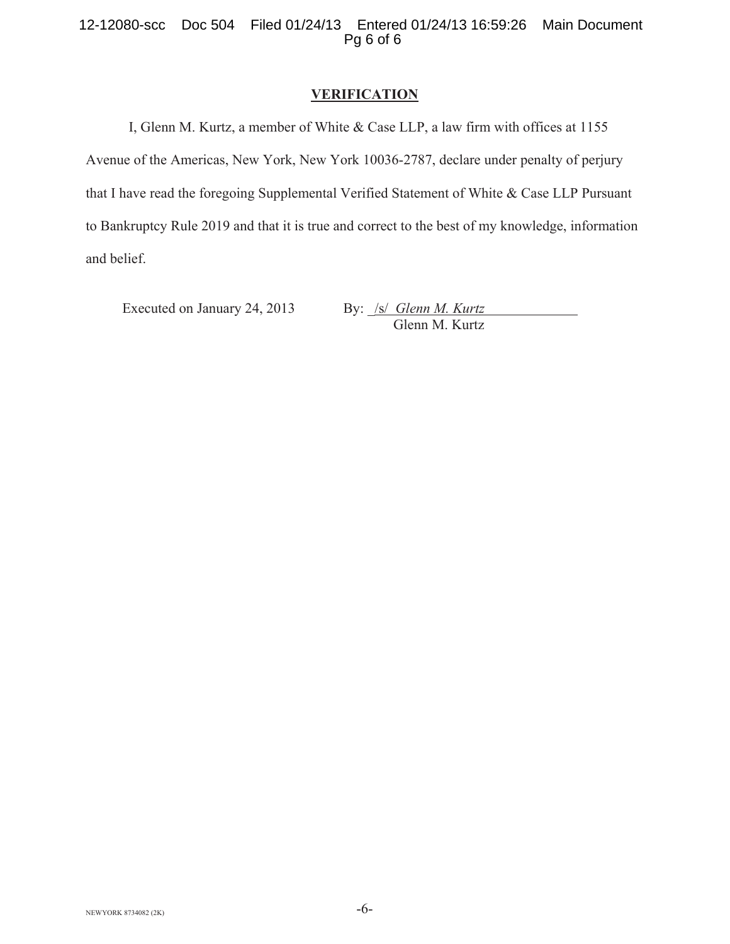# **VERIFICATION**

 I, Glenn M. Kurtz, a member of White & Case LLP, a law firm with offices at 1155 Avenue of the Americas, New York, New York 10036-2787, declare under penalty of perjury that I have read the foregoing Supplemental Verified Statement of White & Case LLP Pursuant to Bankruptcy Rule 2019 and that it is true and correct to the best of my knowledge, information and belief.

Executed on January 24, 2013 By: *\_/s/ Glenn M. Kurtz* 

Glenn M. Kurtz